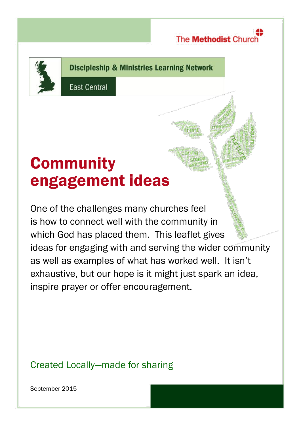

**Discipleship & Ministries Learning Network** 

**East Central** 

# **Community** engagement ideas

One of the challenges many churches feel is how to connect well with the community in which God has placed them. This leaflet gives ideas for engaging with and serving the wider community as well as examples of what has worked well. It isn't exhaustive, but our hope is it might just spark an idea, inspire prayer or offer encouragement.

## Created Locally—made for sharing

September 2015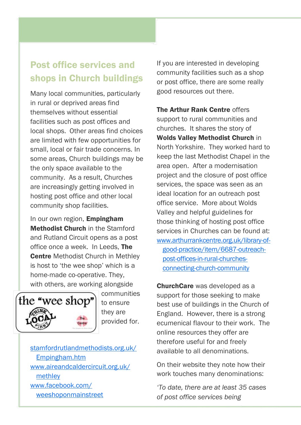## Post office services and shops in Church buildings

Many local communities, particularly in rural or deprived areas find themselves without essential facilities such as post offices and local shops. Other areas find choices are limited with few opportunities for small, local or fair trade concerns. In some areas, Church buildings may be the only space available to the community. As a result, Churches are increasingly getting involved in hosting post office and other local community shop facilities.

In our own region. **Empingham** Methodist Church in the Stamford and Rutland Circuit opens as a post office once a week. In Leeds, The Centre Methodist Church in Methley is host to 'the wee shop' which is a home-made co-operative. They, with others, are working alongside



communities to ensure they are provided for.

[stamfordrutlandmethodists.org.uk/](http://stamfordrutlandmethodists.org.uk/Empingham.htm) [Empingham.htm](http://stamfordrutlandmethodists.org.uk/Empingham.htm) [www.aireandcaldercircuit.org.uk/](http://www.aireandcaldercircuit.org.uk/methley) [methley](http://www.aireandcaldercircuit.org.uk/methley) [www.facebook.com/](https://www.facebook.com/weeshoponmainstreet) [weeshoponmainstreet](https://www.facebook.com/weeshoponmainstreet)

If you are interested in developing community facilities such as a shop or post office, there are some really good resources out there.

The Arthur Rank Centre offers support to rural communities and churches. It shares the story of Wolds Valley Methodist Church in North Yorkshire. They worked hard to keep the last Methodist Chapel in the area open. After a modernisation project and the closure of post office services, the space was seen as an ideal location for an outreach post office service. More about Wolds Valley and helpful guidelines for those thinking of hosting post office services in Churches can be found at: [www.arthurrankcentre.org.uk/library-of](http://www.arthurrankcentre.org.uk/library-of-good-practice/item/6687-outreach-post-offices-in-rural-churches-connecting-church-community)[good-practice/item/6687-outreach](http://www.arthurrankcentre.org.uk/library-of-good-practice/item/6687-outreach-post-offices-in-rural-churches-connecting-church-community)[post-offices-in-rural-churches](http://www.arthurrankcentre.org.uk/library-of-good-practice/item/6687-outreach-post-offices-in-rural-churches-connecting-church-community)[connecting-church-community](http://www.arthurrankcentre.org.uk/library-of-good-practice/item/6687-outreach-post-offices-in-rural-churches-connecting-church-community)

ChurchCare was developed as a support for those seeking to make best use of buildings in the Church of England. However, there is a strong ecumenical flavour to their work. The online resources they offer are therefore useful for and freely available to all denominations.

On their website they note how their work touches many denominations:

*'To date, there are at least 35 cases of post office services being*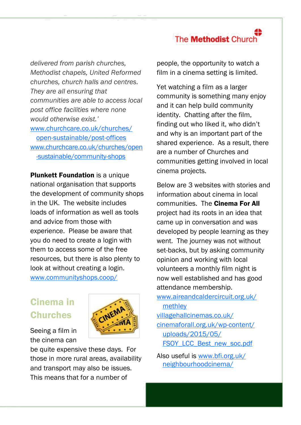*delivered from parish churches, Methodist chapels, United Reformed churches, church halls and centres. They are all ensuring that communities are able to access local post office facilities where none would otherwise exist.'*  [www.churchcare.co.uk/churches/](http://www.churchcare.co.uk/churches/open-sustainable/post-offices) [open-sustainable/post-offices](http://www.churchcare.co.uk/churches/open-sustainable/post-offices) [www.churchcare.co.uk/churches/open](http://www.churchcare.co.uk/churches/open-sustainable/community-shops) [-sustainable/community-shops](http://www.churchcare.co.uk/churches/open-sustainable/community-shops)

**Plunkett Foundation** is a unique national organisation that supports the development of community shops in the UK. The website includes loads of information as well as tools and advice from those with experience. Please be aware that you do need to create a login with them to access some of the free resources, but there is also plenty to look at without creating a login. [www.communityshops.coop/](http://www.communityshops.coop/)

## Cinema in Churches



Seeing a film in the cinema can

be quite expensive these days. For those in more rural areas, availability and transport may also be issues. This means that for a number of

people, the opportunity to watch a film in a cinema setting is limited.

Yet watching a film as a larger community is something many enjoy and it can help build community identity. Chatting after the film, finding out who liked it, who didn't and why is an important part of the shared experience. As a result, there are a number of Churches and communities getting involved in local cinema projects.

Below are 3 websites with stories and information about cinema in local communities. The Cinema For All project had its roots in an idea that came up in conversation and was developed by people learning as they went. The journey was not without set-backs, but by asking community opinion and working with local volunteers a monthly film night is now well established and has good attendance membership.

[www.aireandcaldercircuit.org.uk/](http://www.aireandcaldercircuit.org.uk/methley) [methley](http://www.aireandcaldercircuit.org.uk/methley) [villagehallcinemas.co.uk/](http://villagehallcinemas.co.uk/) [cinemaforall.org.uk/wp-content/](http://cinemaforall.org.uk/wp-content/uploads/2015/05/FSOY_LCC_Best_new_soc.pdf) [uploads/2015/05/](http://cinemaforall.org.uk/wp-content/uploads/2015/05/FSOY_LCC_Best_new_soc.pdf) [FSOY\\_LCC\\_Best\\_new\\_soc.pdf](http://cinemaforall.org.uk/wp-content/uploads/2015/05/FSOY_LCC_Best_new_soc.pdf)

Also useful is [www.bfi.org.uk/](http://www.bfi.org.uk/neighbourhoodcinema/) [neighbourhoodcinema/](http://www.bfi.org.uk/neighbourhoodcinema/)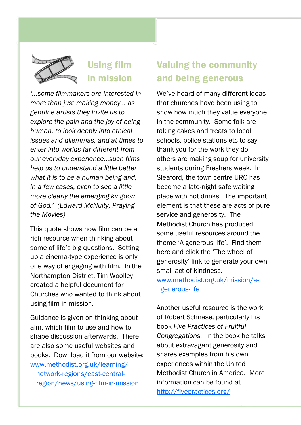

## Using film in mission

*'...some filmmakers are interested in more than just making money... as genuine artists they invite us to explore the pain and the joy of being human, to look deeply into ethical issues and dilemmas, and at times to enter into worlds far different from our everyday experience…such films help us to understand a little better what it is to be a human being and, in a few cases, even to see a little more clearly the emerging kingdom of God.' (Edward McNulty, Praying the Movies)*

This quote shows how film can be a rich resource when thinking about some of life's big questions. Setting up a cinema-type experience is only one way of engaging with film. In the Northampton District, Tim Woolley created a helpful document for Churches who wanted to think about using film in mission.

Guidance is given on thinking about aim, which film to use and how to shape discussion afterwards. There are also some useful websites and books. Download it from our website: [www.methodist.org.uk/learning/](http://www.methodist.org.uk/learning/network-regions/east-central-region/news/using-film-in-mission) [network-regions/east-central](http://www.methodist.org.uk/learning/network-regions/east-central-region/news/using-film-in-mission)[region/news/using-film-in-mission](http://www.methodist.org.uk/learning/network-regions/east-central-region/news/using-film-in-mission)

## Valuing the community and being generous

We've heard of many different ideas that churches have been using to show how much they value everyone in the community. Some folk are taking cakes and treats to local schools, police stations etc to say thank you for the work they do, others are making soup for university students during Freshers week. In Sleaford, the town centre URC has become a late-night safe waiting place with hot drinks. The important element is that these are acts of pure service and generosity. The Methodist Church has produced some useful resources around the theme 'A generous life'. Find them here and click the 'The wheel of generosity' link to generate your own small act of kindness. [www.methodist.org.uk/mission/a-](http://www.methodist.org.uk/mission/a-generous-life)

[generous-life](http://www.methodist.org.uk/mission/a-generous-life)

Another useful resource is the work of Robert Schnase, particularly his book *Five Practices of Fruitful Congregations.* In the book he talks about extravagant generosity and shares examples from his own experiences within the United Methodist Church in America. More information can be found at <http://fivepractices.org/>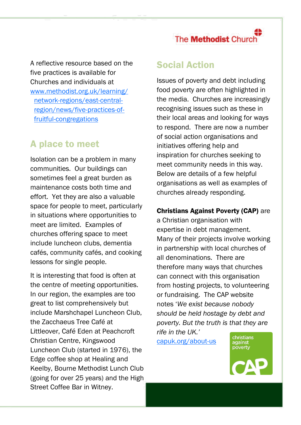A reflective resource based on the five practices is available for Churches and individuals at [www.methodist.org.uk/learning/](http://www.methodist.org.uk/learning/network-regions/east-central-region/news/five-practices-of-fruitful-congregations) [network-regions/east-central](http://www.methodist.org.uk/learning/network-regions/east-central-region/news/five-practices-of-fruitful-congregations)[region/news/five-practices-of](http://www.methodist.org.uk/learning/network-regions/east-central-region/news/five-practices-of-fruitful-congregations)[fruitful-congregations](http://www.methodist.org.uk/learning/network-regions/east-central-region/news/five-practices-of-fruitful-congregations)

## A place to meet

Isolation can be a problem in many communities. Our buildings can sometimes feel a great burden as maintenance costs both time and effort. Yet they are also a valuable space for people to meet, particularly in situations where opportunities to meet are limited. Examples of churches offering space to meet include luncheon clubs, dementia cafés, community cafés, and cooking lessons for single people.

It is interesting that food is often at the centre of meeting opportunities. In our region, the examples are too great to list comprehensively but include Marshchapel Luncheon Club, the Zacchaeus Tree Café at Littleover, Café Eden at Peachcroft Christian Centre, Kingswood Luncheon Club (started in 1976), the Edge coffee shop at Healing and Keelby, Bourne Methodist Lunch Club (going for over 25 years) and the High Street Coffee Bar in Witney.

### Social Action

Issues of poverty and debt including food poverty are often highlighted in the media. Churches are increasingly recognising issues such as these in their local areas and looking for ways to respond. There are now a number of social action organisations and initiatives offering help and inspiration for churches seeking to meet community needs in this way. Below are details of a few helpful organisations as well as examples of churches already responding.

#### Christians Against Poverty (CAP) are

a Christian organisation with expertise in debt management. Many of their projects involve working in partnership with local churches of all denominations. There are therefore many ways that churches can connect with this organisation from hosting projects, to volunteering or fundraising. The CAP website notes '*We exist because nobody should be held hostage by debt and poverty. But the truth is that they are rife in the UK.'* 

[capuk.org/about-us](https://capuk.org/about-us)

christians<br>against<br>poverty

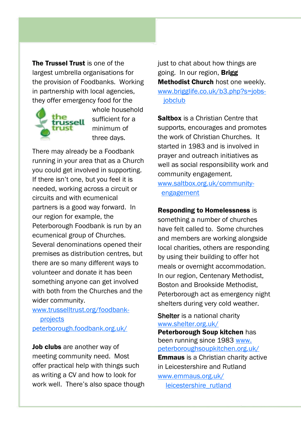The Trussel Trust is one of the largest umbrella organisations for the provision of Foodbanks. Working in partnership with local agencies, they offer emergency food for the



whole household sufficient for a minimum of three days.

There may already be a Foodbank running in your area that as a Church you could get involved in supporting. If there isn't one, but you feel it is needed, working across a circuit or circuits and with ecumenical partners is a good way forward. In our region for example, the Peterborough Foodbank is run by an ecumenical group of Churches. Several denominations opened their premises as distribution centres, but there are so many different ways to volunteer and donate it has been something anyone can get involved with both from the Churches and the wider community.

#### [www.trusselltrust.org/foodbank](http://www.trusselltrust.org/foodbank-projects)[projects](http://www.trusselltrust.org/foodbank-projects) [peterborough.foodbank.org.uk/](http://peterborough.foodbank.org.uk/)

Job clubs are another way of meeting community need. Most offer practical help with things such as writing a CV and how to look for work well. There's also space though just to chat about how things are going. In our region, Brigg Methodist Church host one weekly. [www.brigglife.co.uk/b3.php?s=jobs](http://www.brigglife.co.uk/b3.php?s=jobs-jobclub)iobclub

Salthox is a Christian Centre that supports, encourages and promotes the work of Christian Churches. It started in 1983 and is involved in prayer and outreach initiatives as well as social responsibility work and community engagement. [www.saltbox.org.uk/community](http://www.saltbox.org.uk/community-engagement)[engagement](http://www.saltbox.org.uk/community-engagement)

#### Responding to Homelessness is

something a number of churches have felt called to. Some churches and members are working alongside local charities, others are responding by using their building to offer hot meals or overnight accommodation. In our region, Centenary Methodist, Boston and Brookside Methodist, Peterborough act as emergency night shelters during very cold weather.

Shelter is a national charity [www.shelter.org.uk/](http://www.shelter.org.uk/)

Peterborough Soup kitchen has been running since 1983 [www.](http://www.peterboroughsoupkitchen.org.uk/) [peterboroughsoupkitchen.org.uk/](http://www.peterboroughsoupkitchen.org.uk/) Emmaus is a Christian charity active in Leicestershire and Rutland [www.emmaus.org.uk/](http://www.emmaus.org.uk/leicestershire_rutland) [leicestershire\\_rutland](http://www.emmaus.org.uk/leicestershire_rutland)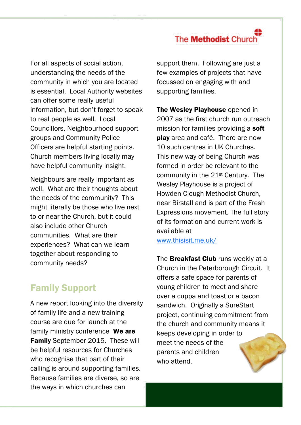For all aspects of social action, understanding the needs of the community in which you are located is essential. Local Authority websites can offer some really useful information, but don't forget to speak to real people as well. Local Councillors, Neighbourhood support groups and Community Police Officers are helpful starting points. Church members living locally may have helpful community insight.

Neighbours are really important as well. What are their thoughts about the needs of the community? This might literally be those who live next to or near the Church, but it could also include other Church communities. What are their experiences? What can we learn together about responding to community needs?

## Family Support

A new report looking into the diversity of family life and a new training course are due for launch at the family ministry conference We are Family September 2015. These will be helpful resources for Churches who recognise that part of their calling is around supporting families. Because families are diverse, so are the ways in which churches can

support them. Following are just a few examples of projects that have focussed on engaging with and supporting families.

The Wesley Playhouse opened in 2007 as the first church run outreach mission for families providing a soft play area and café. There are now 10 such centres in UK Churches. This new way of being Church was formed in order be relevant to the community in the 21st Century. The Wesley Playhouse is a project of Howden Clough Methodist Church, near Birstall and is part of the Fresh Expressions movement. The full story of its formation and current work is available at [www.thisisit.me.uk/](http://www.thisisit.me.uk/)

The **Breakfast Club** runs weekly at a Church in the Peterborough Circuit. It offers a safe space for parents of young children to meet and share over a cuppa and toast or a bacon sandwich. Originally a SureStart project, continuing commitment from the church and community means it keeps developing in order to meet the needs of the parents and children who attend.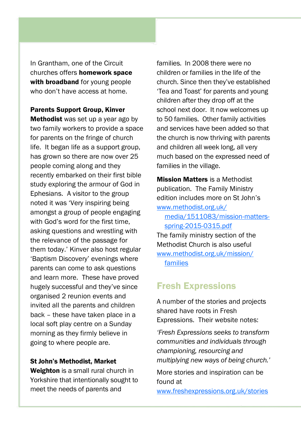In Grantham, one of the Circuit churches offers homework space with broadband for young people who don't have access at home.

Parents Support Group, Kinver Methodist was set up a year ago by two family workers to provide a space for parents on the fringe of church life. It began life as a support group, has grown so there are now over 25 people coming along and they recently embarked on their first bible study exploring the armour of God in Ephesians. A visitor to the group noted it was 'Very inspiring being amongst a group of people engaging with God's word for the first time, asking questions and wrestling with the relevance of the passage for them today.' Kinver also host regular 'Baptism Discovery' evenings where parents can come to ask questions and learn more. These have proved hugely successful and they've since organised 2 reunion events and invited all the parents and children back – these have taken place in a local soft play centre on a Sunday morning as they firmly believe in going to where people are.

#### St John's Methodist, Market

Weighton is a small rural church in Yorkshire that intentionally sought to meet the needs of parents and

families. In 2008 there were no children or families in the life of the church. Since then they've established 'Tea and Toast' for parents and young children after they drop off at the school next door. It now welcomes up to 50 families. Other family activities and services have been added so that the church is now thriving with parents and children all week long, all very much based on the expressed need of families in the village.

Mission Matters is a Methodist publication. The Family Ministry edition includes more on St John's [www.methodist.org.uk/](http://www.methodist.org.uk/media/1511083/mission-matters-spring-2015-0315.pdf)

[media/1511083/mission-matters](http://www.methodist.org.uk/media/1511083/mission-matters-spring-2015-0315.pdf)[spring-2015-0315.pdf](http://www.methodist.org.uk/media/1511083/mission-matters-spring-2015-0315.pdf)

The family ministry section of the Methodist Church is also useful [www.methodist.org.uk/mission/](http://www.methodist.org.uk/mission/families) [families](http://www.methodist.org.uk/mission/families)

## Fresh Expressions

A number of the stories and projects shared have roots in Fresh Expressions. Their website notes:

*'Fresh Expressions seeks to transform communities and individuals through championing, resourcing and multiplying new ways of being church.'*

More stories and inspiration can be found at

[www.freshexpressions.org.uk/stories](https://www.freshexpressions.org.uk/stories)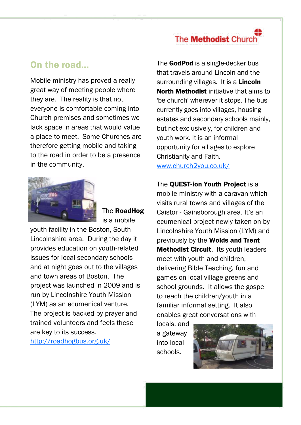### On the road...

Mobile ministry has proved a really great way of meeting people where they are. The reality is that not everyone is comfortable coming into Church premises and sometimes we lack space in areas that would value a place to meet. Some Churches are therefore getting mobile and taking to the road in order to be a presence in the community.



The RoadHog is a mobile

youth facility in the Boston, South Lincolnshire area. During the day it provides education on youth-related issues for local secondary schools and at night goes out to the villages and town areas of Boston. The project was launched in 2009 and is run by Lincolnshire Youth Mission (LYM) as an ecumenical venture. The project is backed by prayer and trained volunteers and feels these are key to its success.

<http://roadhogbus.org.uk/>

The GodPod is a single-decker bus that travels around Lincoln and the surrounding villages. It is a **Lincoln** [North Methodist](http://www.lincolnmethodist.org.uk/) initiative that aims to 'be church' wherever it stops. The bus currently goes into villages, housing estates and secondary schools mainly, but not exclusively, for children and youth work. It is an informal opportunity for all ages to explore Christianity and Faith.

[www.church2you.co.uk/](http://www.church2you.co.uk/)

The **QUEST-ion Youth Project** is a mobile ministry with a caravan which visits rural towns and villages of the Caistor - Gainsborough area. It's an ecumenical project newly taken on by Lincolnshire Youth Mission (LYM) and previously by the Wolds and Trent **Methodist Circuit.** Its youth leaders meet with youth and children, delivering Bible Teaching, fun and games on local village greens and school grounds. It allows the gospel to reach the children/youth in a familiar informal setting. It also enables great conversations with

locals, and a gateway into local schools.

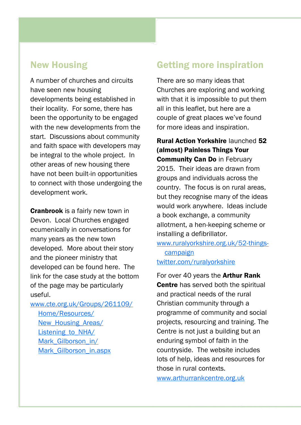### New Housing

A number of churches and circuits have seen new housing developments being established in their locality. For some, there has been the opportunity to be engaged with the new developments from the start. Discussions about community and faith space with developers may be integral to the whole project. In other areas of new housing there have not been built-in opportunities to connect with those undergoing the development work.

Cranbrook is a fairly new town in Devon. Local Churches engaged ecumenically in conversations for many years as the new town developed. More about their story and the pioneer ministry that developed can be found here. The link for the case study at the bottom of the page may be particularly useful.

[www.cte.org.uk/Groups/261109/](http://www.cte.org.uk/Groups/261109/Home/Resources/New_Housing_Areas/Listening_to_NHA/Mark_Gilborson_in/Mark_Gilborson_in.aspx) [Home/Resources/](http://www.cte.org.uk/Groups/261109/Home/Resources/New_Housing_Areas/Listening_to_NHA/Mark_Gilborson_in/Mark_Gilborson_in.aspx) New Housing Areas/ Listening to NHA/ Mark Gilborson in/ [Mark\\_Gilborson\\_in.aspx](http://www.cte.org.uk/Groups/261109/Home/Resources/New_Housing_Areas/Listening_to_NHA/Mark_Gilborson_in/Mark_Gilborson_in.aspx)

## Getting more inspiration

There are so many ideas that Churches are exploring and working with that it is impossible to put them all in this leaflet, but here are a couple of great places we've found for more ideas and inspiration.

Rural Action Yorkshire launched 52 (almost) Painless Things Your Community Can Do in February 2015. Their ideas are drawn from groups and individuals across the country. The focus is on rural areas, but they recognise many of the ideas would work anywhere. Ideas include a book exchange, a community allotment, a hen-keeping scheme or installing a defibrillator.

[www.ruralyorkshire.org.uk/52-things](http://www.ruralyorkshire.org.uk/52-things-campaign)[campaign](http://www.ruralyorkshire.org.uk/52-things-campaign) [twitter.com/ruralyorkshire](https://twitter.com/ruralyorkshire)

For over 40 years the **Arthur Rank Centre** has served both the spiritual and practical needs of the rural Christian community through a programme of community and social projects, resourcing and training. The Centre is not just a building but an enduring symbol of faith in the countryside. The website includes lots of help, ideas and resources for those in rural contexts.

[www.arthurrankcentre.org.uk](http://www.arthurrankcentre.org.uk)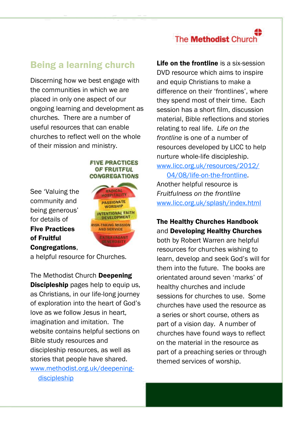## Being a learning church

Discerning how we best engage with the communities in which we are placed in only one aspect of our ongoing learning and development as churches. There are a number of useful resources that can enable churches to reflect well on the whole of their mission and ministry.

#### **FIVE PRACTICES** OF FRUITFUL **CONGREGATIONS**

See 'Valuing the community and being generous' for details of Five Practices of Fruitful Congregations,



a helpful resource for Churches.

The Methodist Church Deepening **Discipleship** pages help to equip us, as Christians, in our life-long journey of exploration into the heart of God's love as we follow Jesus in heart, imagination and imitation. The website contains helpful sections on Bible study resources and discipleship resources, as well as stories that people have shared. [www.methodist.org.uk/deepening](http://www.methodist.org.uk/deepening-discipleship)[discipleship](http://www.methodist.org.uk/deepening-discipleship)

Life on the frontline is a six-session DVD resource which aims to inspire and equip Christians to make a difference on their 'frontlines', where they spend most of their time. Each session has a short film, discussion material, Bible reflections and stories relating to real life. *Life on the frontline* is one of a number of resources developed by LICC to help nurture whole-life discipleship.

[www.licc.org.uk/resources/2012/](http://www.licc.org.uk/resources/2012/04/08/life-on-the-frontline) [04/08/life-on-the-frontline.](http://www.licc.org.uk/resources/2012/04/08/life-on-the-frontline) Another helpful resource is *Fruitfulness on the frontline* [www.licc.org.uk/splash/index.html](http://www.licc.org.uk/splash/index.html)

#### The Healthy Churches Handbook and Developing Healthy Churches

both by Robert Warren are helpful resources for churches wishing to learn, develop and seek God's will for them into the future. The books are orientated around seven 'marks' of healthy churches and include sessions for churches to use. Some churches have used the resource as a series or short course, others as part of a vision day. A number of churches have found ways to reflect on the material in the resource as part of a preaching series or through themed services of worship.